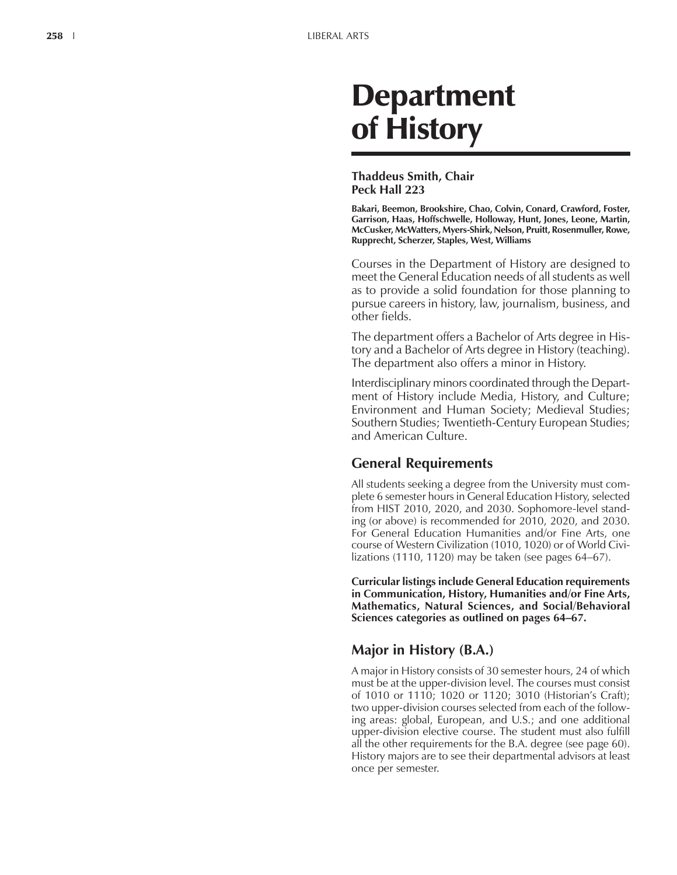# Department of History

## **Thaddeus Smith, Chair Peck Hall 223**

**Bakari, Beemon, Brookshire, Chao, Colvin, Conard, Crawford, Foster, Garrison, Haas, Hoffschwelle, Holloway, Hunt, Jones, Leone, Martin, McCusker, McWatters, Myers-Shirk, Nelson, Pruitt, Rosenmuller, Rowe, Rupprecht, Scherzer, Staples, West, Williams**

Courses in the Department of History are designed to meet the General Education needs of all students as well as to provide a solid foundation for those planning to pursue careers in history, law, journalism, business, and other fields.

The department offers a Bachelor of Arts degree in History and a Bachelor of Arts degree in History (teaching). The department also offers a minor in History.

Interdisciplinary minors coordinated through the Department of History include Media, History, and Culture; Environment and Human Society; Medieval Studies; Southern Studies; Twentieth-Century European Studies; and American Culture.

# **General Requirements**

All students seeking a degree from the University must complete 6 semester hours in General Education History, selected from HIST 2010, 2020, and 2030. Sophomore-level standing (or above) is recommended for 2010, 2020, and 2030. For General Education Humanities and/or Fine Arts, one course of Western Civilization (1010, 1020) or of World Civilizations (1110, 1120) may be taken (see pages  $64-67$ ).

**Curricular listings include General Education requirements in Communication, History, Humanities and/or Fine Arts, Mathematics, Natural Sciences, and Social/Behavioral** Sciences categories as outlined on pages 64-67.

# **Major in History (B.A.)**

A major in History consists of 30 semester hours, 24 of which must be at the upper-division level. The courses must consist of 1010 or 1110; 1020 or 1120; 3010 (Historianís Craft); two upper-division courses selected from each of the following areas: global, European, and U.S.; and one additional upper-division elective course. The student must also fulfill all the other requirements for the B.A. degree (see page 60). History majors are to see their departmental advisors at least once per semester.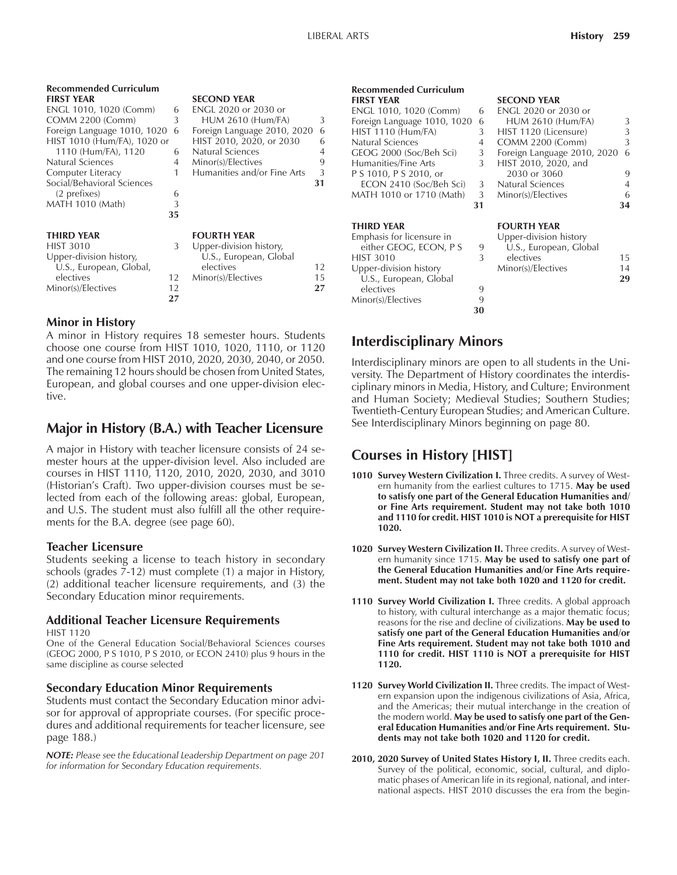| <b>Recommended Curriculum</b> |    |                             |    |
|-------------------------------|----|-----------------------------|----|
| <b>FIRST YEAR</b>             |    | <b>SECOND YEAR</b>          |    |
| ENGL 1010, 1020 (Comm)        | 6  | FNGL 2020 or 2030 or        |    |
| <b>COMM 2200 (Comm)</b>       | 3  | <b>HUM 2610 (Hum/FA)</b>    | 3  |
| Foreign Language 1010, 1020   | 6  | Foreign Language 2010, 2020 | 6  |
| HIST 1010 (Hum/FA), 1020 or   |    | HIST 2010, 2020, or 2030    | 6  |
| 1110 (Hum/FA), 1120           | 6  | Natural Sciences            | 4  |
| Natural Sciences              | 4  | Minor(s)/Electives          | 9  |
| Computer Literacy             | 1  | Humanities and/or Fine Arts | 3  |
| Social/Behavioral Sciences    |    |                             | 31 |
| (2 prefixes)                  | 6  |                             |    |
| MATH 1010 (Math)              | 3  |                             |    |
|                               | 35 |                             |    |
| <b>THIRD YEAR</b>             |    | <b>FOURTH YEAR</b>          |    |
| <b>HIST 3010</b>              | 3  | Upper-division history,     |    |
| Upper-division history,       |    | U.S., European, Global      |    |
| U.S., European, Global,       |    | electives                   | 12 |
| electives                     | 12 | Minor(s)/Electives          | 15 |

# **D** YEAR 020 or 2030 or 2610 (Hum/FA) 3 Language 2010, 2020 6  $(910, 2020, \text{ or } 2030)$  6 1110 Sciences 4  $\frac{9}{10}$ <br>The Sciences Hine Arts ities and/or Fine Arts **TH YEAR** division history, European, Global electives 12 Minor(s)/Electives 15

### **Minor in History**

A minor in History requires 18 semester hours. Students choose one course from HIST 1010, 1020, 1110, or 1120 and one course from HIST 2010, 2020, 2030, 2040, or 2050. The remaining 12 hours should be chosen from United States, European, and global courses and one upper-division elective.

Minor(s)/Electives 12 **27 27**

## **Major in History (B.A.) with Teacher Licensure**

A major in History with teacher licensure consists of 24 semester hours at the upper-division level. Also included are courses in HIST 1110, 1120, 2010, 2020, 2030, and 3010 (Historian's Craft). Two upper-division courses must be selected from each of the following areas: global, European, and U.S. The student must also fulfill all the other requirements for the B.A. degree (see page 60).

#### **Teacher Licensure**

Students seeking a license to teach history in secondary schools (grades 7-12) must complete (1) a major in History, (2) additional teacher licensure requirements, and (3) the Secondary Education minor requirements.

#### **Additional Teacher Licensure Requirements** HIST 1120

One of the General Education Social/Behavioral Sciences courses (GEOG 2000, P S 1010, P S 2010, or ECON 2410) plus 9 hours in the same discipline as course selected

#### **Secondary Education Minor Requirements**

Students must contact the Secondary Education minor advisor for approval of appropriate courses. (For specific procedures and additional requirements for teacher licensure, see page 188.)

*NOTE: Please see the Educational Leadership Department on page 201 for information for Secondary Education requirements.*

#### **Recommended Curriculum** FIRST YFAR SECOND YFAR ENGL 1010, 1020 (Comm) 6 Foreign Language 1010, 1020 6  $HIST$  1110  $(Hum/FA)$  3 Natural Sciences 4<br>GEOG 2000 (Soc/Beh Sci) 3 GEOG 2000 (Soc/Beh Sci) Humanities/Fine Arts 3 P S 1010, P S 2010, or<br>ECON 2410 (Soc/Beh Sci) 3

ECON 2410 (Soc/Beh Sci) MATH 1010 or 1710 (Math)  $31$ 

| Emphasis for licensure in |    | Upper-division history |    |
|---------------------------|----|------------------------|----|
| either GEOG, ECON, P S    | 9  | U.S., European, Global |    |
| <b>HIST 3010</b>          |    | electives              | 15 |
| Upper-division history    |    | Minor(s)/Electives     | 14 |
| U.S., European, Global    |    |                        | 29 |
| electives                 |    |                        |    |
| Minor(s)/Electives        |    |                        |    |
|                           | 30 |                        |    |

| 6              | <b>ENGL 2020 or 2030 or</b> |   |
|----------------|-----------------------------|---|
| 6              | <b>HUM 2610 (Hum/FA)</b>    | 3 |
| 3              | HIST 1120 (Licensure)       | 3 |
| $\overline{4}$ | COMM 2200 (Comm)            | 3 |
| 3              | Foreign Language 2010, 2020 | 6 |
| 3              | HIST 2010, 2020, and        |   |
|                | 2030 or 3060                | 9 |
| 3              | Natural Sciences            | 4 |
| 3              | Minor(s)/Electives          | 6 |
| 31             |                             |   |

#### **THIRD YEAR FOURTH YEAR**

| Upper-division history |    |
|------------------------|----|
| U.S., European, Global |    |
| electives              | 15 |
| Minor(s)/Electives     | 14 |
|                        | 29 |
|                        |    |
|                        |    |

# **Interdisciplinary Minors**

Interdisciplinary minors are open to all students in the University. The Department of History coordinates the interdisciplinary minors in Media, History, and Culture; Environment and Human Society; Medieval Studies; Southern Studies; Twentieth-Century European Studies; and American Culture. See Interdisciplinary Minors beginning on page 80.

# **Courses in History [HIST]**

- 1010 Survey Western Civilization I. Three credits. A survey of Western humanity from the earliest cultures to 1715. **May be used to satisfy one part of the General Education Humanities and/ or Fine Arts requirement. Student may not take both 1010 and 1110 for credit. HIST 1010 is NOT a prerequisite for HIST 1020.**
- **1020 Survey Western Civilization II.** Three credits. A survey of Western humanity since 1715. **May be used to satisfy one part of the General Education Humanities and/or Fine Arts requirement. Student may not take both 1020 and 1120 for credit.**
- 1110 **Survey World Civilization I.** Three credits. A global approach to history, with cultural interchange as a major thematic focus; reasons for the rise and decline of civilizations. **May be used to satisfy one part of the General Education Humanities and/or Fine Arts requirement. Student may not take both 1010 and 1110 for credit. HIST 1110 is NOT a prerequisite for HIST 1120.**
- **1120 Survey World Civilization II.** Three credits. The impact of Western expansion upon the indigenous civilizations of Asia, Africa, and the Americas; their mutual interchange in the creation of the modern world. **May be used to satisfy one part of the General Education Humanities and/or Fine Arts requirement. Students may not take both 1020 and 1120 for credit.**
- 2010, 2020 Survey of United States History I, II. Three credits each. Survey of the political, economic, social, cultural, and diplomatic phases of American life in its regional, national, and international aspects. HIST 2010 discusses the era from the begin-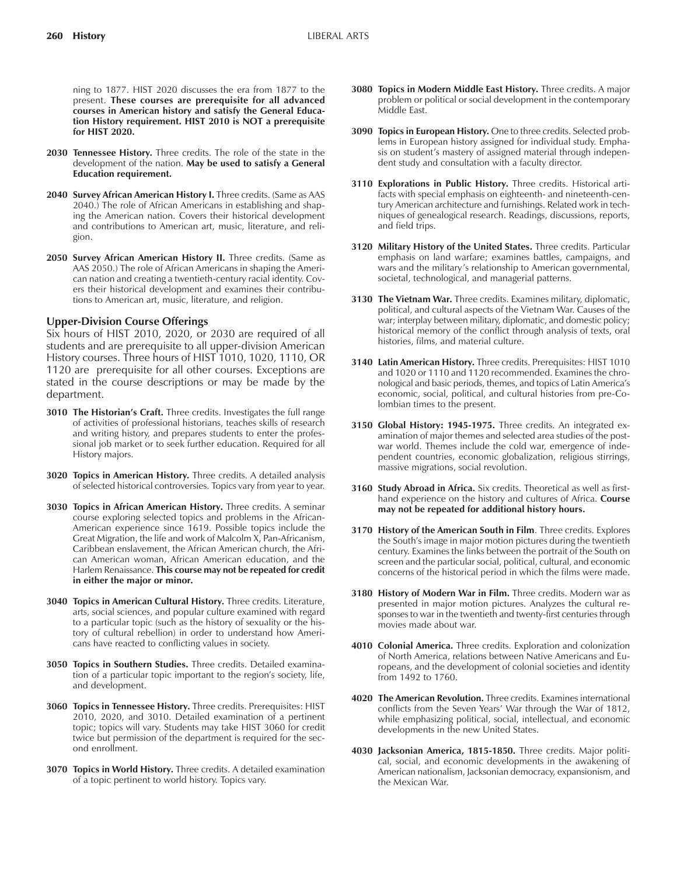ning to 1877. HIST 2020 discusses the era from 1877 to the present. **These courses are prerequisite for all advanced courses in American history and satisfy the General Education History requirement. HIST 2010 is NOT a prerequisite for HIST 2020.**

- **2030 Tennessee History.** Three credits. The role of the state in the development of the nation. **May be used to satisfy a General Education requirement.**
- 2040 **Survey African American History I.** Three credits. (Same as AAS 2040.) The role of African Americans in establishing and shaping the American nation. Covers their historical development and contributions to American art, music, literature, and religion.
- 2050 Survey African American History II. Three credits. (Same as AAS 2050.) The role of African Americans in shaping the American nation and creating a twentieth-century racial identity. Covers their historical development and examines their contributions to American art, music, literature, and religion.

#### **Upper-Division Course Offerings**

Six hours of HIST 2010, 2020, or 2030 are required of all students and are prerequisite to all upper-division American History courses. Three hours of HIST 1010, 1020, 1110, OR 1120 are prerequisite for all other courses. Exceptions are stated in the course descriptions or may be made by the department.

- 3010 The Historian's Craft. Three credits. Investigates the full range of activities of professional historians, teaches skills of research and writing history, and prepares students to enter the professional job market or to seek further education. Required for all History majors.
- **3020 Topics in American History.** Three credits. A detailed analysis of selected historical controversies. Topics vary from year to year.
- **3030 Topics in African American History.** Three credits. A seminar course exploring selected topics and problems in the African-American experience since 1619. Possible topics include the Great Migration, the life and work of Malcolm X, Pan-Africanism, Caribbean enslavement, the African American church, the African American woman, African American education, and the Harlem Renaissance. **This course may not be repeated for credit in either the major or minor.**
- **3040 Topics in American Cultural History.** Three credits. Literature, arts, social sciences, and popular culture examined with regard to a particular topic (such as the history of sexuality or the history of cultural rebellion) in order to understand how Americans have reacted to conflicting values in society.
- **3050 Topics in Southern Studies.** Three credits. Detailed examination of a particular topic important to the region's society, life, and development.
- **3060 Topics in Tennessee History.** Three credits. Prerequisites: HIST 2010, 2020, and 3010. Detailed examination of a pertinent topic; topics will vary. Students may take HIST 3060 for credit twice but permission of the department is required for the second enrollment.
- **3070 Topics in World History.** Three credits. A detailed examination of a topic pertinent to world history. Topics vary.
- **3080 Topics in Modern Middle East History.** Three credits. A major problem or political or social development in the contemporary Middle East.
- **3090 Topics in European History.** One to three credits. Selected problems in European history assigned for individual study. Emphasis on student's mastery of assigned material through independent study and consultation with a faculty director.
- **3110 Explorations in Public History.** Three credits. Historical artifacts with special emphasis on eighteenth- and nineteenth-century American architecture and furnishings. Related work in techniques of genealogical research. Readings, discussions, reports, and field trips.
- **3120 Military History of the United States.** Three credits. Particular emphasis on land warfare; examines battles, campaigns, and wars and the military's relationship to American governmental, societal, technological, and managerial patterns.
- **3130 The Vietnam War.** Three credits. Examines military, diplomatic, political, and cultural aspects of the Vietnam War. Causes of the war; interplay between military, diplomatic, and domestic policy; historical memory of the conflict through analysis of texts, oral histories, films, and material culture.
- **3140 Latin American History.** Three credits. Prerequisites: HIST 1010 and 1020 or 1110 and 1120 recommended. Examines the chronological and basic periods, themes, and topics of Latin America's economic, social, political, and cultural histories from pre-Colombian times to the present.
- **3150 Global History: 1945-1975.** Three credits. An integrated examination of major themes and selected area studies of the postwar world. Themes include the cold war, emergence of independent countries, economic globalization, religious stirrings, massive migrations, social revolution.
- **3160 Study Abroad in Africa.** Six credits. Theoretical as well as firsthand experience on the history and cultures of Africa. **Course may not be repeated for additional history hours.**
- **3170 History of the American South in Film**. Three credits. Explores the South's image in major motion pictures during the twentieth century. Examines the links between the portrait of the South on screen and the particular social, political, cultural, and economic concerns of the historical period in which the films were made.
- **3180 History of Modern War in Film.** Three credits. Modern war as presented in major motion pictures. Analyzes the cultural responses to war in the twentieth and twenty-first centuries through movies made about war.
- **4010 Colonial America.** Three credits. Exploration and colonization of North America, relations between Native Americans and Europeans, and the development of colonial societies and identity from 1492 to 1760.
- **4020 The American Revolution.** Three credits. Examines international conflicts from the Seven Years' War through the War of 1812, while emphasizing political, social, intellectual, and economic developments in the new United States.
- **4030 Jacksonian America, 1815-1850.** Three credits. Major political, social, and economic developments in the awakening of American nationalism, Jacksonian democracy, expansionism, and the Mexican War.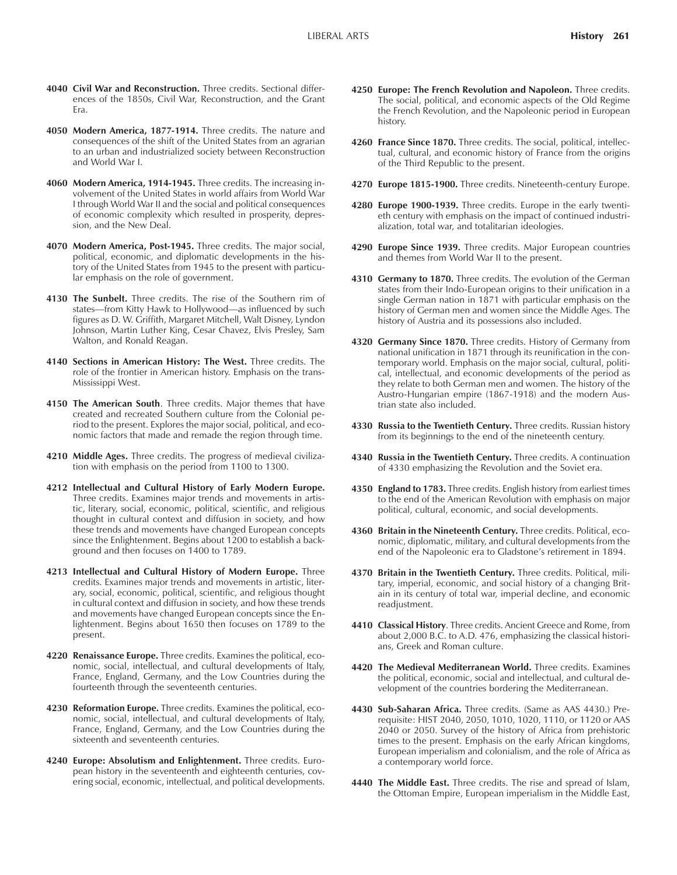- **4040 Civil War and Reconstruction.** Three credits. Sectional differences of the 1850s, Civil War, Reconstruction, and the Grant Era.
- **4050 Modern America, 1877-1914.** Three credits. The nature and consequences of the shift of the United States from an agrarian to an urban and industrialized society between Reconstruction and World War I.
- **4060 Modern America, 1914-1945.** Three credits. The increasing involvement of the United States in world affairs from World War I through World War II and the social and political consequences of economic complexity which resulted in prosperity, depression, and the New Deal.
- **4070 Modern America, Post-1945.** Three credits. The major social, political, economic, and diplomatic developments in the history of the United States from 1945 to the present with particular emphasis on the role of government.
- **4130 The Sunbelt.** Three credits. The rise of the Southern rim of states—from Kitty Hawk to Hollywood—as influenced by such figures as D. W. Griffith, Margaret Mitchell, Walt Disney, Lyndon Johnson, Martin Luther King, Cesar Chavez, Elvis Presley, Sam Walton, and Ronald Reagan.
- **4140 Sections in American History: The West.** Three credits. The role of the frontier in American history. Emphasis on the trans-Mississippi West.
- **4150 The American South**. Three credits. Major themes that have created and recreated Southern culture from the Colonial period to the present. Explores the major social, political, and economic factors that made and remade the region through time.
- **4210 Middle Ages.** Three credits. The progress of medieval civilization with emphasis on the period from 1100 to 1300.
- **4212 Intellectual and Cultural History of Early Modern Europe.** Three credits. Examines major trends and movements in artistic, literary, social, economic, political, scientific, and religious thought in cultural context and diffusion in society, and how these trends and movements have changed European concepts since the Enlightenment. Begins about 1200 to establish a background and then focuses on 1400 to 1789.
- **4213 Intellectual and Cultural History of Modern Europe.** Three credits. Examines major trends and movements in artistic, literary, social, economic, political, scientific, and religious thought in cultural context and diffusion in society, and how these trends and movements have changed European concepts since the Enlightenment. Begins about 1650 then focuses on 1789 to the present.
- **4220 Renaissance Europe.** Three credits. Examines the political, economic, social, intellectual, and cultural developments of Italy, France, England, Germany, and the Low Countries during the fourteenth through the seventeenth centuries.
- **4230 Reformation Europe.** Three credits. Examines the political, economic, social, intellectual, and cultural developments of Italy, France, England, Germany, and the Low Countries during the sixteenth and seventeenth centuries.
- **4240 Europe: Absolutism and Enlightenment.** Three credits. European history in the seventeenth and eighteenth centuries, covering social, economic, intellectual, and political developments.
- **4250 Europe: The French Revolution and Napoleon.** Three credits. The social, political, and economic aspects of the Old Regime the French Revolution, and the Napoleonic period in European history.
- **4260 France Since 1870.** Three credits. The social, political, intellectual, cultural, and economic history of France from the origins of the Third Republic to the present.
- **4270 Europe 1815-1900.** Three credits. Nineteenth-century Europe.
- **4280 Europe 1900-1939.** Three credits. Europe in the early twentieth century with emphasis on the impact of continued industrialization, total war, and totalitarian ideologies.
- **4290 Europe Since 1939.** Three credits. Major European countries and themes from World War II to the present.
- **4310 Germany to 1870.** Three credits. The evolution of the German states from their Indo-European origins to their unification in a single German nation in 1871 with particular emphasis on the history of German men and women since the Middle Ages. The history of Austria and its possessions also included.
- **4320 Germany Since 1870.** Three credits. History of Germany from national unification in 1871 through its reunification in the contemporary world. Emphasis on the major social, cultural, political, intellectual, and economic developments of the period as they relate to both German men and women. The history of the Austro-Hungarian empire (1867-1918) and the modern Austrian state also included.
- **4330 Russia to the Twentieth Century.** Three credits. Russian history from its beginnings to the end of the nineteenth century.
- **4340 Russia in the Twentieth Century.** Three credits. A continuation of 4330 emphasizing the Revolution and the Soviet era.
- **4350 England to 1783.** Three credits. English history from earliest times to the end of the American Revolution with emphasis on major political, cultural, economic, and social developments.
- **4360 Britain in the Nineteenth Century.** Three credits. Political, economic, diplomatic, military, and cultural developments from the end of the Napoleonic era to Gladstone's retirement in 1894.
- **4370 Britain in the Twentieth Century.** Three credits. Political, military, imperial, economic, and social history of a changing Britain in its century of total war, imperial decline, and economic readjustment.
- **4410 Classical History**. Three credits. Ancient Greece and Rome, from about 2,000 B.C. to A.D. 476, emphasizing the classical historians, Greek and Roman culture.
- **4420 The Medieval Mediterranean World.** Three credits. Examines the political, economic, social and intellectual, and cultural development of the countries bordering the Mediterranean.
- **4430 Sub-Saharan Africa.** Three credits. (Same as AAS 4430.) Prerequisite: HIST 2040, 2050, 1010, 1020, 1110, or 1120 or AAS 2040 or 2050. Survey of the history of Africa from prehistoric times to the present. Emphasis on the early African kingdoms, European imperialism and colonialism, and the role of Africa as a contemporary world force.
- **4440 The Middle East.** Three credits. The rise and spread of Islam, the Ottoman Empire, European imperialism in the Middle East,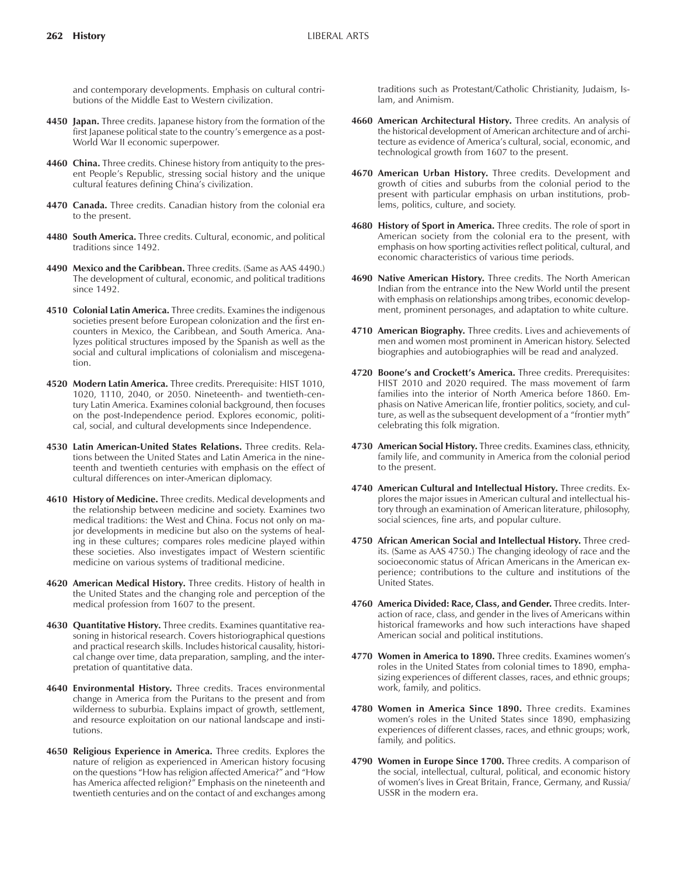and contemporary developments. Emphasis on cultural contributions of the Middle East to Western civilization.

- **4450 Japan.** Three credits. Japanese history from the formation of the first Japanese political state to the country's emergence as a post-World War II economic superpower.
- **4460 China.** Three credits. Chinese history from antiquity to the present People's Republic, stressing social history and the unique cultural features defining China's civilization.
- **4470 Canada.** Three credits. Canadian history from the colonial era to the present.
- **4480 South America.** Three credits. Cultural, economic, and political traditions since 1492.
- **4490 Mexico and the Caribbean.** Three credits. (Same as AAS 4490.) The development of cultural, economic, and political traditions since 1492.
- **4510 Colonial Latin America.** Three credits. Examines the indigenous societies present before European colonization and the first encounters in Mexico, the Caribbean, and South America. Analyzes political structures imposed by the Spanish as well as the social and cultural implications of colonialism and miscegenation.
- **4520 Modern Latin America.** Three credits. Prerequisite: HIST 1010, 1020, 1110, 2040, or 2050. Nineteenth- and twentieth-century Latin America. Examines colonial background, then focuses on the post-Independence period. Explores economic, political, social, and cultural developments since Independence.
- **4530 Latin American-United States Relations.** Three credits. Relations between the United States and Latin America in the nineteenth and twentieth centuries with emphasis on the effect of cultural differences on inter-American diplomacy.
- **4610 History of Medicine.** Three credits. Medical developments and the relationship between medicine and society. Examines two medical traditions: the West and China. Focus not only on major developments in medicine but also on the systems of healing in these cultures; compares roles medicine played within these societies. Also investigates impact of Western scientific medicine on various systems of traditional medicine.
- **4620 American Medical History.** Three credits. History of health in the United States and the changing role and perception of the medical profession from 1607 to the present.
- **4630 Quantitative History.** Three credits. Examines quantitative reasoning in historical research. Covers historiographical questions and practical research skills. Includes historical causality, historical change over time, data preparation, sampling, and the interpretation of quantitative data.
- **4640 Environmental History.** Three credits. Traces environmental change in America from the Puritans to the present and from wilderness to suburbia. Explains impact of growth, settlement, and resource exploitation on our national landscape and institutions.
- **4650 Religious Experience in America.** Three credits. Explores the nature of religion as experienced in American history focusing on the questions "How has religion affected America?" and "How has America affected religion?" Emphasis on the nineteenth and twentieth centuries and on the contact of and exchanges among

traditions such as Protestant/Catholic Christianity, Judaism, Islam, and Animism.

- **4660 American Architectural History.** Three credits. An analysis of the historical development of American architecture and of architecture as evidence of America's cultural, social, economic, and technological growth from 1607 to the present.
- **4670 American Urban History.** Three credits. Development and growth of cities and suburbs from the colonial period to the present with particular emphasis on urban institutions, problems, politics, culture, and society.
- **4680 History of Sport in America.** Three credits. The role of sport in American society from the colonial era to the present, with emphasis on how sporting activities reflect political, cultural, and economic characteristics of various time periods.
- **4690 Native American History.** Three credits. The North American Indian from the entrance into the New World until the present with emphasis on relationships among tribes, economic development, prominent personages, and adaptation to white culture.
- **4710 American Biography.** Three credits. Lives and achievements of men and women most prominent in American history. Selected biographies and autobiographies will be read and analyzed.
- 4720 Boone's and Crockett's America. Three credits. Prerequisites: HIST 2010 and 2020 required. The mass movement of farm families into the interior of North America before 1860. Emphasis on Native American life, frontier politics, society, and culture, as well as the subsequent development of a "frontier myth" celebrating this folk migration.
- **4730 American Social History.** Three credits. Examines class, ethnicity, family life, and community in America from the colonial period to the present.
- **4740 American Cultural and Intellectual History.** Three credits. Explores the major issues in American cultural and intellectual history through an examination of American literature, philosophy, social sciences, fine arts, and popular culture.
- **4750 African American Social and Intellectual History.** Three credits. (Same as AAS 4750.) The changing ideology of race and the socioeconomic status of African Americans in the American experience; contributions to the culture and institutions of the United States.
- **4760 America Divided: Race, Class, and Gender.** Three credits. Interaction of race, class, and gender in the lives of Americans within historical frameworks and how such interactions have shaped American social and political institutions.
- **4770 Women in America to 1890.** Three credits. Examines womenís roles in the United States from colonial times to 1890, emphasizing experiences of different classes, races, and ethnic groups; work, family, and politics.
- **4780 Women in America Since 1890.** Three credits. Examines women's roles in the United States since 1890, emphasizing experiences of different classes, races, and ethnic groups; work, family, and politics.
- **4790 Women in Europe Since 1700.** Three credits. A comparison of the social, intellectual, cultural, political, and economic history of womenís lives in Great Britain, France, Germany, and Russia/ USSR in the modern era.